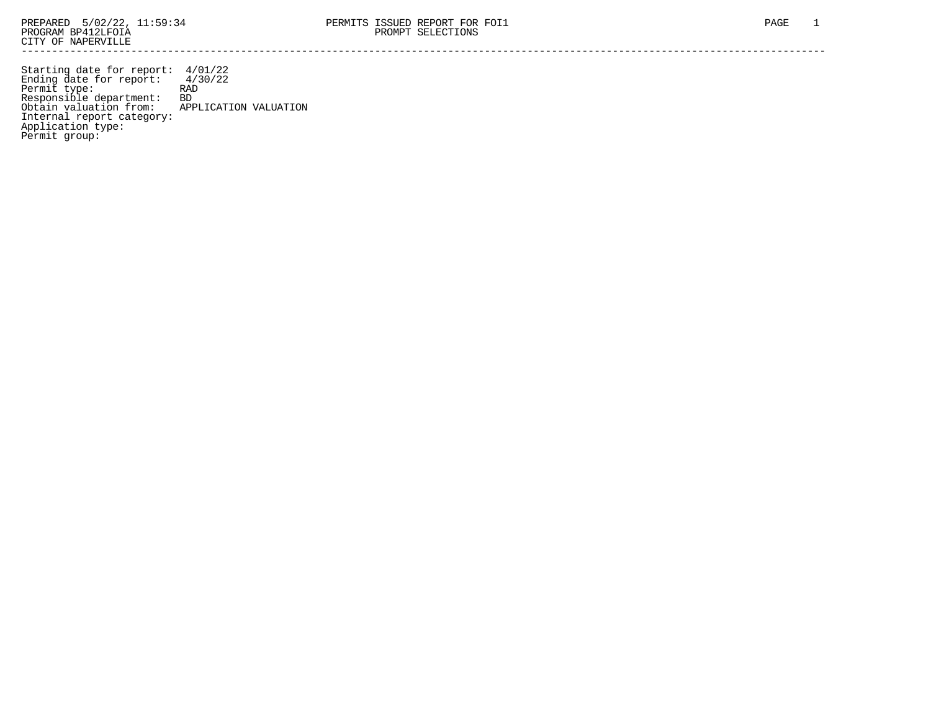Starting date for report: 4/01/22 Ending date for report: 4/30/22 Permit type: RAD Responsible department: BD Obtain valuation from: APPLICATION VALUATION Internal report category: Application type: Permit group: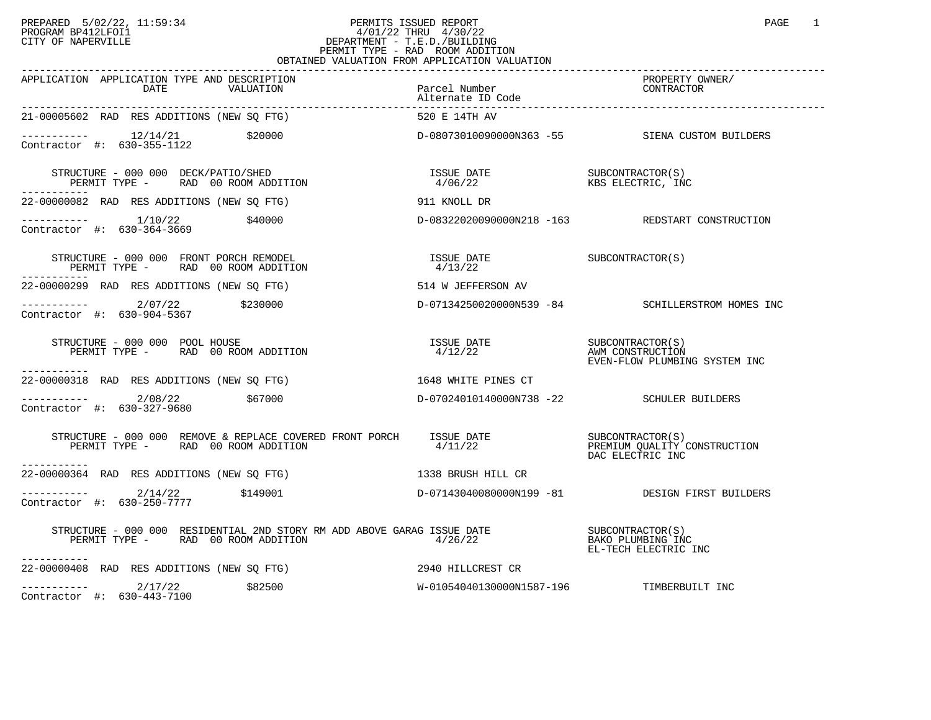## PREPARED 5/02/22, 11:59:34 PERMITS ISSUED REPORT PROGRAM BP412LFOI1 PAGE 1 PROGRAM BP412LFOI1 4/01/22 THRU 4/30/22 CITY OF NAPERVILLE **Example 20** CITY OF NAPERVILLE PERMIT TYPE - RAD ROOM ADDITION OBTAINED VALUATION FROM APPLICATION VALUATION

| APPLICATION APPLICATION TYPE AND DESCRIPTION<br>VALUATION Parcel Number<br>Alternate ID Code<br>21-00005602 RAD RES ADDITIONS (NEW SO ETC)                               |                                                                                                                                                        | PROPERTY OWNER/<br>CONTRACTOR                                                            |
|--------------------------------------------------------------------------------------------------------------------------------------------------------------------------|--------------------------------------------------------------------------------------------------------------------------------------------------------|------------------------------------------------------------------------------------------|
| 21-00005602 RAD RES ADDITIONS (NEW SO FTG)                                                                                                                               |                                                                                                                                                        |                                                                                          |
| ----------- 12/14/21 \$20000<br>Contractor #: 630-355-1122 \$20000                                                                                                       |                                                                                                                                                        | D-08073010090000N363 -55 SIENA CUSTOM BUILDERS                                           |
| STRUCTURE - 000 000 DECK/PATIO/SHED<br>PERMIT TYPE - RAD 00 ROOM ADDITION                                                                                                |                                                                                                                                                        |                                                                                          |
| 22-00000082 RAD RES ADDITIONS (NEW SO FTG) 5 8 911 KNOLL DR                                                                                                              |                                                                                                                                                        |                                                                                          |
| ----------- 1/10/22 \$40000<br>Contractor #: 630-364-3669                                                                                                                |                                                                                                                                                        | D-08322020090000N218 -163 REDSTART CONSTRUCTION                                          |
| STRUCTURE - 000 000 FRONT PORCH REMODEL<br>PERMIT TYPE - RAD 00 ROOM ADDITION                                                                                            | $\begin{array}{lll} \texttt{ISSUE} & \texttt{DATE} & \texttt{SUBCONTRACTOR(S)}\\ \texttt{4/13/22} & \texttt{} & \texttt{SUBCONTRACTOR(S)} \end{array}$ |                                                                                          |
| 22-00000299 RAD RES ADDITIONS (NEW SQ FTG)                                                                                                                               | 514 W JEFFERSON AV                                                                                                                                     |                                                                                          |
| ----------- 2/07/22 \$230000<br>Contractor #: 630-904-5367 \$230000 0 D-07134250020000N539 -84 SCHILLERSTROM HOMES INC                                                   |                                                                                                                                                        |                                                                                          |
| STRUCTURE - 000 000 POOL HOUSE<br>PERMIT TYPE - RAD 00 ROOM ADDITION<br>-----------                                                                                      |                                                                                                                                                        | ISSUE DATE SUBCONTRACTOR(S)<br>4/12/22 AWM CONSTRUCTION<br>EVEN-FLOW PLUMBING SYSTEM INC |
| 22-00000318 RAD RES ADDITIONS (NEW SQ FTG) 1648 WHITE PINES CT                                                                                                           |                                                                                                                                                        |                                                                                          |
| $---------2/08/22$ \$67000<br>Contractor #: 630-327-9680                                                                                                                 | D-07024010140000N738 -22 SCHULER BUILDERS                                                                                                              |                                                                                          |
| STRUCTURE - 000 000 REMOVE & REPLACE COVERED FRONT PORCH<br>PERMIT TYPE - RAD 00 ROOM ADDITION $4/11/22$<br>PERMIT TYPE - RAD 00 ROOM ADDITION $4/11/22$<br>------------ |                                                                                                                                                        | DAC ELECTRIC INC                                                                         |
| 22-00000364 RAD RES ADDITIONS (NEW SQ FTG) 1338 BRUSH HILL CR                                                                                                            |                                                                                                                                                        |                                                                                          |
| ---------- 2/14/22 \$149001    \$149001    \$14900    \$14900    \$14900    \$14900    \$14900    \$14900     \$14900<br>Contractor #: 630-250-7777                      |                                                                                                                                                        |                                                                                          |
| -----------                                                                                                                                                              |                                                                                                                                                        | EL-TECH ELECTRIC INC                                                                     |
|                                                                                                                                                                          |                                                                                                                                                        |                                                                                          |
| $\begin{array}{ccc}\n-2 & -2 & -2 \\ \hline\n\text{Contraction} & \text{#}: & 630-443-7100\n\end{array}$<br>\$82500<br>Contractor #: 630-443-7100                        | W-01054040130000N1587-196 TIMBERBUILT INC                                                                                                              |                                                                                          |